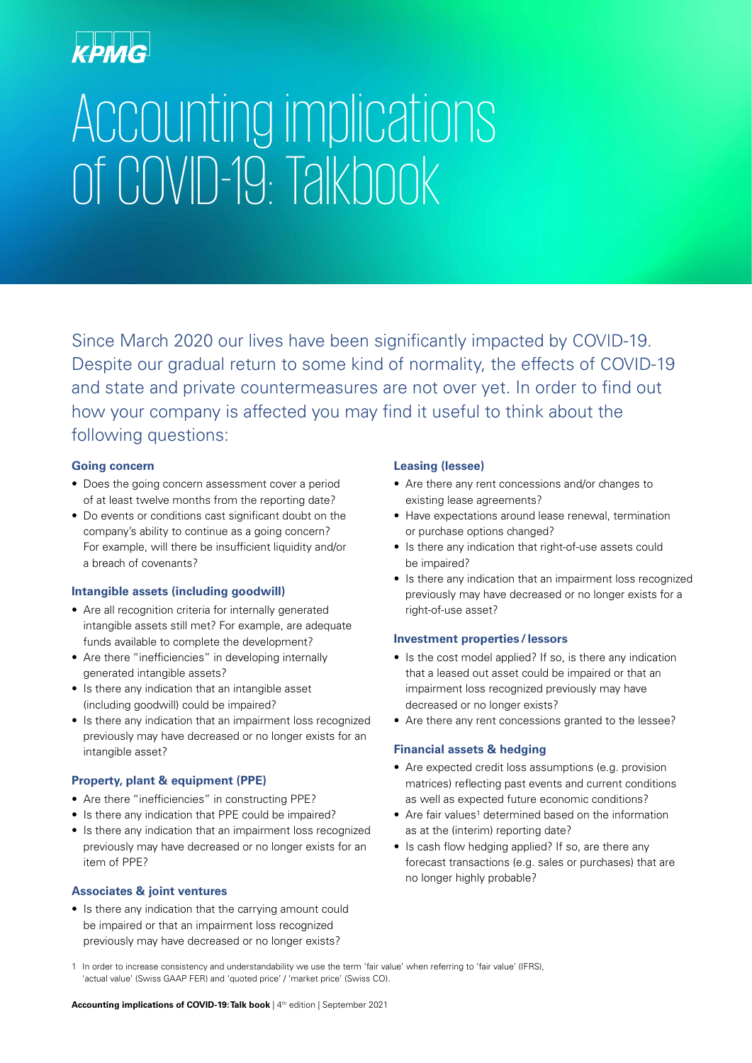# Accounting implications of COVID-19: Talkbook

Since March 2020 our lives have been significantly impacted by COVID-19. Despite our gradual return to some kind of normality, the effects of COVID-19 and state and private countermeasures are not over yet. In order to find out how your company is affected you may find it useful to think about the following questions:

# **Going concern**

- Does the going concern assessment cover a period of at least twelve months from the reporting date?
- Do events or conditions cast significant doubt on the company's ability to continue as a going concern? For example, will there be insufficient liquidity and/or a breach of covenants?

# **Intangible assets (including goodwill)**

- Are all recognition criteria for internally generated intangible assets still met? For example, are adequate funds available to complete the development?
- Are there "inefficiencies" in developing internally generated intangible assets?
- Is there any indication that an intangible asset (including goodwill) could be impaired?
- Is there any indication that an impairment loss recognized previously may have decreased or no longer exists for an intangible asset?

# **Property, plant & equipment (PPE)**

- Are there "inefficiencies" in constructing PPE?
- Is there any indication that PPE could be impaired?
- Is there any indication that an impairment loss recognized previously may have decreased or no longer exists for an item of PPE?

# **Associates & joint ventures**

• Is there any indication that the carrying amount could be impaired or that an impairment loss recognized previously may have decreased or no longer exists?

# **Leasing (lessee)**

- Are there any rent concessions and/or changes to existing lease agreements?
- Have expectations around lease renewal, termination or purchase options changed?
- Is there any indication that right-of-use assets could be impaired?
- Is there any indication that an impairment loss recognized previously may have decreased or no longer exists for a right-of-use asset?

# **Investment properties / lessors**

- Is the cost model applied? If so, is there any indication that a leased out asset could be impaired or that an impairment loss recognized previously may have decreased or no longer exists?
- Are there any rent concessions granted to the lessee?

# **Financial assets & hedging**

- Are expected credit loss assumptions (e.g. provision matrices) reflecting past events and current conditions as well as expected future economic conditions?
- Are fair values<sup>1</sup> determined based on the information as at the (interim) reporting date?
- Is cash flow hedging applied? If so, are there any forecast transactions (e.g. sales or purchases) that are no longer highly probable?

1 In order to increase consistency and understandability we use the term 'fair value' when referring to 'fair value' (IFRS), 'actual value' (Swiss GAAP FER) and 'quoted price' / 'market price' (Swiss CO).

**Accounting implications of COVID-19: Talk book | 4<sup>th</sup> edition | September 2021**